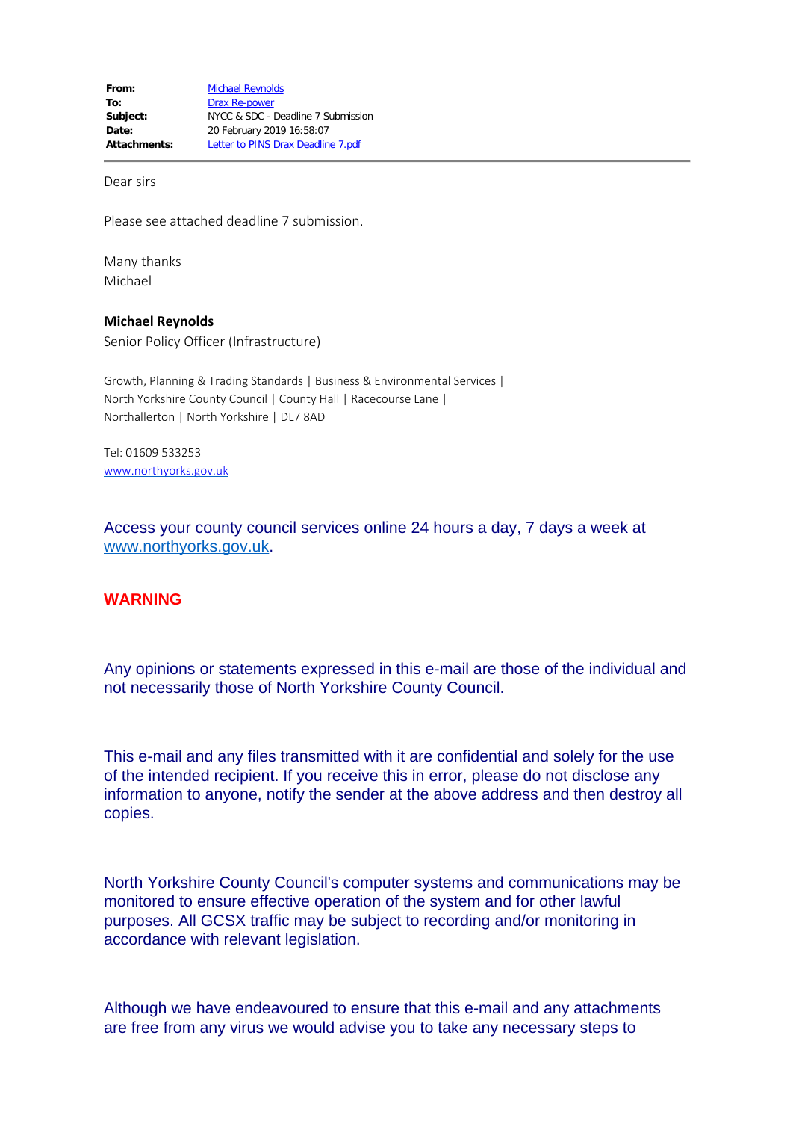Dear sirs

Please see attached deadline 7 submission.

Many thanks Michael

**Michael Reynolds** Senior Policy Officer (Infrastructure)

Growth, Planning & Trading Standards | Business & Environmental Services | North Yorkshire County Council | County Hall | Racecourse Lane | Northallerton | North Yorkshire | DL7 8AD

Tel: 01609 533253 [www.northyorks.gov.uk](http://www.northyorks.gov.uk/)

Access your county council services online 24 hours a day, 7 days a week at [www.northyorks.gov.uk](http://www.northyorks.gov.uk/).

## **WARNING**

Any opinions or statements expressed in this e-mail are those of the individual and not necessarily those of North Yorkshire County Council.

This e-mail and any files transmitted with it are confidential and solely for the use of the intended recipient. If you receive this in error, please do not disclose any information to anyone, notify the sender at the above address and then destroy all copies.

North Yorkshire County Council's computer systems and communications may be monitored to ensure effective operation of the system and for other lawful purposes. All GCSX traffic may be subject to recording and/or monitoring in accordance with relevant legislation.

Although we have endeavoured to ensure that this e-mail and any attachments are free from any virus we would advise you to take any necessary steps to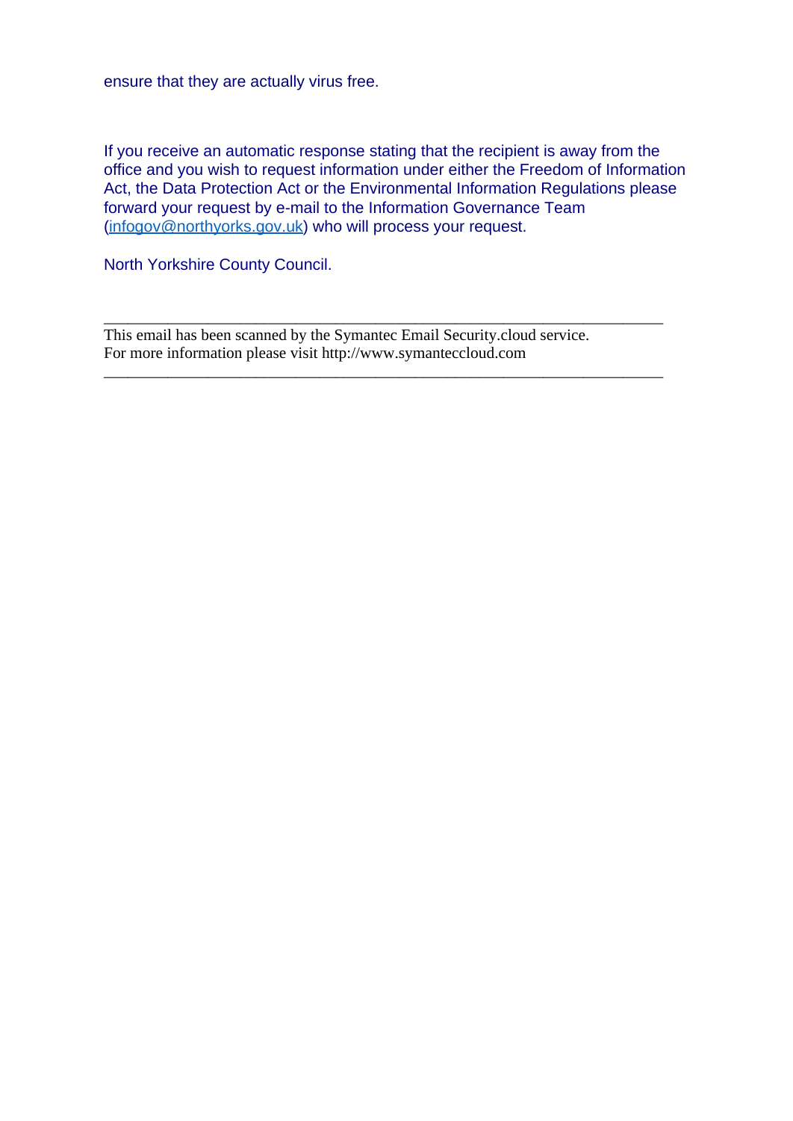ensure that they are actually virus free.

If you receive an automatic response stating that the recipient is away from the office and you wish to request information under either the Freedom of Information Act, the Data Protection Act or the Environmental Information Regulations please forward your request by e-mail to the Information Governance Team ([infogov@northyorks.gov.uk\)](mailto:infogov@northyorks.gov.uk) who will process your request.

\_\_\_\_\_\_\_\_\_\_\_\_\_\_\_\_\_\_\_\_\_\_\_\_\_\_\_\_\_\_\_\_\_\_\_\_\_\_\_\_\_\_\_\_\_\_\_\_\_\_\_\_\_\_\_\_\_\_\_\_\_\_\_\_\_\_\_\_\_\_

\_\_\_\_\_\_\_\_\_\_\_\_\_\_\_\_\_\_\_\_\_\_\_\_\_\_\_\_\_\_\_\_\_\_\_\_\_\_\_\_\_\_\_\_\_\_\_\_\_\_\_\_\_\_\_\_\_\_\_\_\_\_\_\_\_\_\_\_\_\_

North Yorkshire County Council.

This email has been scanned by the Symantec Email Security.cloud service. For more information please visit http://www.symanteccloud.com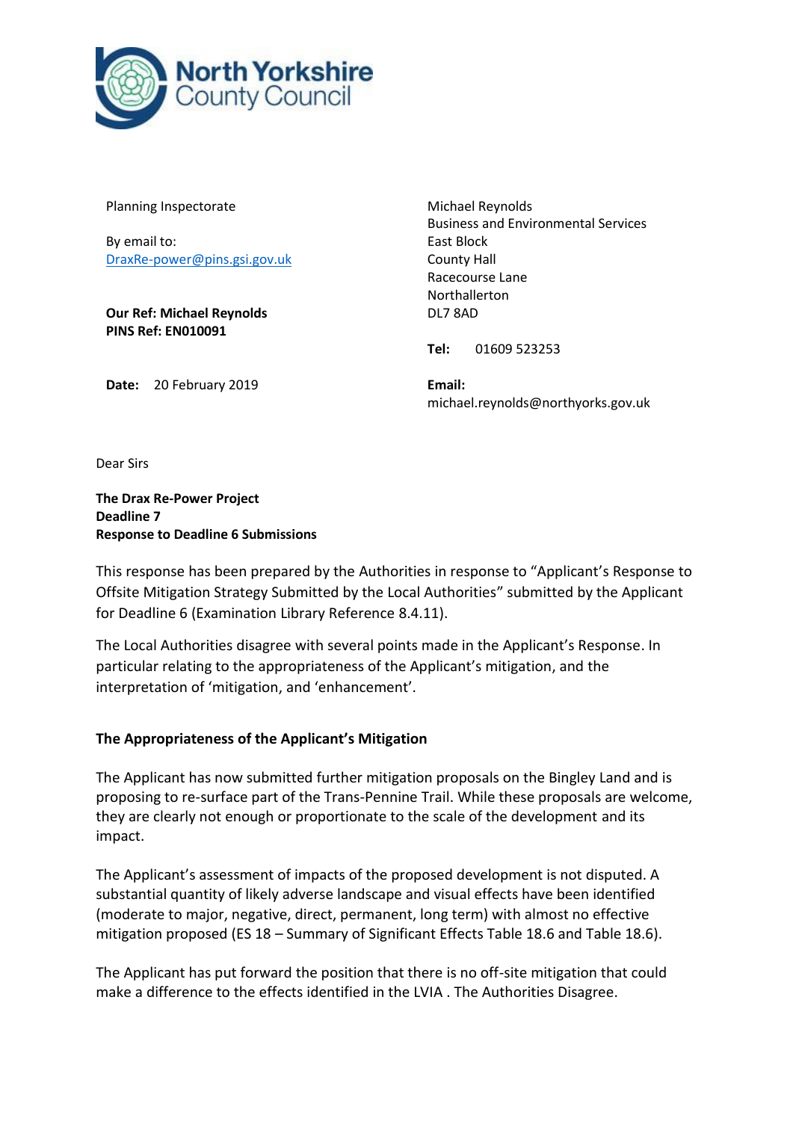

Planning Inspectorate

By email to: DraxRe-power@pins.gsi.gov.uk

**Our Ref: Michael Reynolds PINS Ref: EN010091**

Michael Reynolds Business and Environmental Services East Block County Hall Racecourse Lane Northallerton DL7 8AD

**Tel:** 01609 523253

**Date:** 20 February 2019

**Email:** michael.reynolds@northyorks.gov.uk

Dear Sirs

**The Drax Re-Power Project Deadline 7 Response to Deadline 6 Submissions**

This response has been prepared by the Authorities in response to "Applicant's Response to Offsite Mitigation Strategy Submitted by the Local Authorities" submitted by the Applicant for Deadline 6 (Examination Library Reference 8.4.11).

The Local Authorities disagree with several points made in the Applicant's Response. In particular relating to the appropriateness of the Applicant's mitigation, and the interpretation of 'mitigation, and 'enhancement'.

## **The Appropriateness of the Applicant's Mitigation**

The Applicant has now submitted further mitigation proposals on the Bingley Land and is proposing to re-surface part of the Trans-Pennine Trail. While these proposals are welcome, they are clearly not enough or proportionate to the scale of the development and its impact.

The Applicant's assessment of impacts of the proposed development is not disputed. A substantial quantity of likely adverse landscape and visual effects have been identified (moderate to major, negative, direct, permanent, long term) with almost no effective mitigation proposed (ES 18 – Summary of Significant Effects Table 18.6 and Table 18.6).

The Applicant has put forward the position that there is no off-site mitigation that could make a difference to the effects identified in the LVIA . The Authorities Disagree.